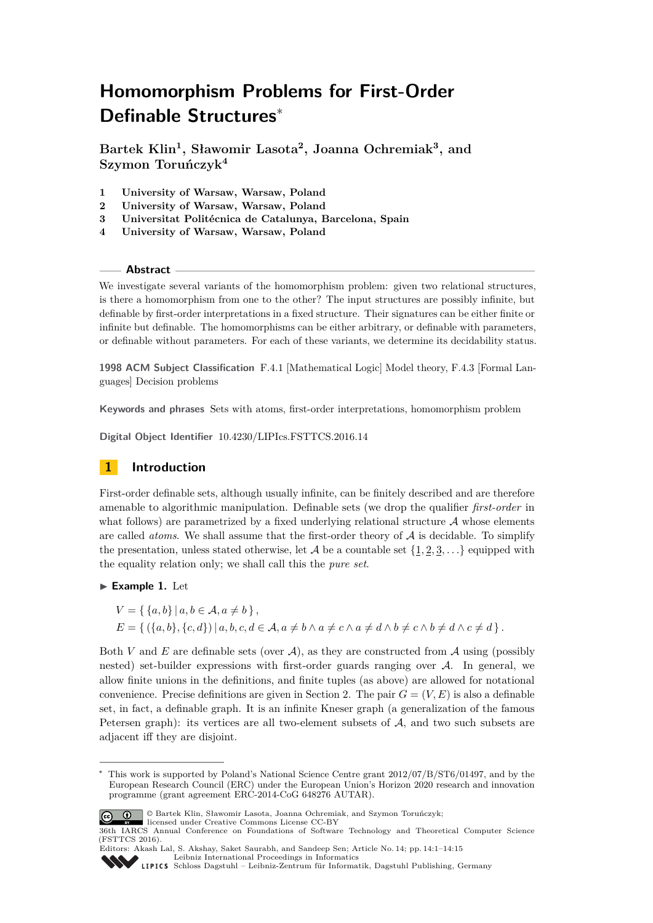# **Homomorphism Problems for First-Order Definable Structures**<sup>∗</sup>

**Bartek Klin<sup>1</sup> , Sławomir Lasota<sup>2</sup> , Joanna Ochremiak<sup>3</sup> , and Szymon Toruńczyk<sup>4</sup>**

- **1 University of Warsaw, Warsaw, Poland**
- **2 University of Warsaw, Warsaw, Poland**
- **3 Universitat Politécnica de Catalunya, Barcelona, Spain**
- **4 University of Warsaw, Warsaw, Poland**

#### **Abstract**

We investigate several variants of the homomorphism problem: given two relational structures, is there a homomorphism from one to the other? The input structures are possibly infinite, but definable by first-order interpretations in a fixed structure. Their signatures can be either finite or infinite but definable. The homomorphisms can be either arbitrary, or definable with parameters, or definable without parameters. For each of these variants, we determine its decidability status.

**1998 ACM Subject Classification** F.4.1 [Mathematical Logic] Model theory, F.4.3 [Formal Languages] Decision problems

**Keywords and phrases** Sets with atoms, first-order interpretations, homomorphism problem

**Digital Object Identifier** [10.4230/LIPIcs.FSTTCS.2016.14](http://dx.doi.org/10.4230/LIPIcs.FSTTCS.2016.14)

# **1 Introduction**

First-order definable sets, although usually infinite, can be finitely described and are therefore amenable to algorithmic manipulation. Definable sets (we drop the qualifier *first-order* in what follows) are parametrized by a fixed underlying relational structure  $A$  whose elements are called *atoms*. We shall assume that the first-order theory of A is decidable. To simplify the presentation, unless stated otherwise, let  $\mathcal A$  be a countable set  $\{1, 2, 3, \ldots\}$  equipped with the equality relation only; we shall call this the *pure set*.

### <span id="page-0-0"></span>**Example 1. Let**

 $V = \{ \{a, b\} \mid a, b \in \mathcal{A}, a \neq b \},\$  $E = \{ (\{a, b\}, \{c, d\}) | a, b, c, d \in \mathcal{A}, a \neq b \land a \neq c \land a \neq d \land b \neq c \land b \neq d \land c \neq d \}.$ 

Both *V* and *E* are definable sets (over  $A$ ), as they are constructed from  $A$  using (possibly nested) set-builder expressions with first-order guards ranging over A. In general, we allow finite unions in the definitions, and finite tuples (as above) are allowed for notational convenience. Precise definitions are given in Section [2.](#page-3-0) The pair  $G = (V, E)$  is also a definable set, in fact, a definable graph. It is an infinite Kneser graph (a generalization of the famous Petersen graph): its vertices are all two-element subsets of  $A$ , and two such subsets are adjacent iff they are disjoint.

This work is supported by Poland's National Science Centre grant  $2012/07/B/ST6/01497$ , and by the European Research Council (ERC) under the European Union's Horizon 2020 research and innovation programme (grant agreement ERC-2014-CoG 648276 AUTAR).



© Bartek Klin, Sławomir Lasota, Joanna Ochremiak, and Szymon Toruńczyk; licensed under Creative Commons License CC-BY

<sup>36</sup>th IARCS Annual Conference on Foundations of Software Technology and Theoretical Computer Science (FSTTCS 2016).

Editors: Akash Lal, S. Akshay, Saket Saurabh, and Sandeep Sen; Article No. 14; pp. 14:1–14[:15](#page-14-0) [Leibniz International Proceedings in Informatics](http://www.dagstuhl.de/lipics/)

[Schloss Dagstuhl – Leibniz-Zentrum für Informatik, Dagstuhl Publishing, Germany](http://www.dagstuhl.de)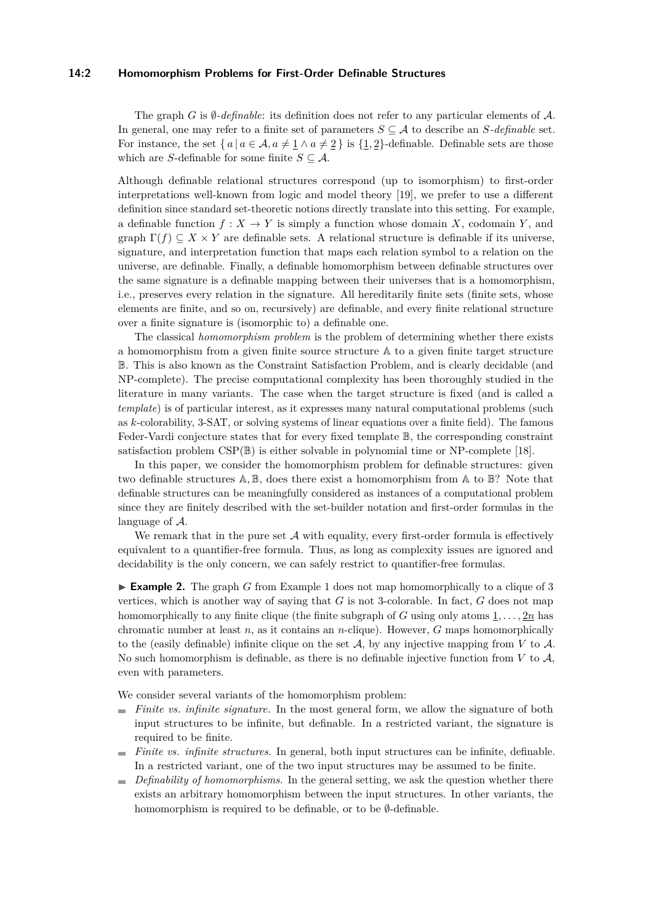#### **14:2 Homomorphism Problems for First-Order Definable Structures**

The graph *G* is  $\emptyset$ -definable: its definition does not refer to any particular elements of A. In general, one may refer to a finite set of parameters  $S \subseteq A$  to describe an  $S$ *-definable* set. For instance, the set  $\{a \mid a \in \mathcal{A}, a \neq \underline{1} \land a \neq \underline{2}\}$  is  $\{\underline{1}, \underline{2}\}\$ -definable. Definable sets are those which are *S*-definable for some finite  $S \subseteq A$ .

Although definable relational structures correspond (up to isomorphism) to first-order interpretations well-known from logic and model theory [\[19\]](#page-13-0), we prefer to use a different definition since standard set-theoretic notions directly translate into this setting. For example, a definable function  $f: X \to Y$  is simply a function whose domain X, codomain Y, and graph  $\Gamma(f) \subseteq X \times Y$  are definable sets. A relational structure is definable if its universe, signature, and interpretation function that maps each relation symbol to a relation on the universe, are definable. Finally, a definable homomorphism between definable structures over the same signature is a definable mapping between their universes that is a homomorphism, i.e., preserves every relation in the signature. All hereditarily finite sets (finite sets, whose elements are finite, and so on, recursively) are definable, and every finite relational structure over a finite signature is (isomorphic to) a definable one.

The classical *homomorphism problem* is the problem of determining whether there exists a homomorphism from a given finite source structure A to a given finite target structure B. This is also known as the Constraint Satisfaction Problem, and is clearly decidable (and NP-complete). The precise computational complexity has been thoroughly studied in the literature in many variants. The case when the target structure is fixed (and is called a *template*) is of particular interest, as it expresses many natural computational problems (such as *k*-colorability, 3-SAT, or solving systems of linear equations over a finite field). The famous Feder-Vardi conjecture states that for every fixed template B, the corresponding constraint satisfaction problem  $CSP(\mathbb{B})$  is either solvable in polynomial time or NP-complete [\[18\]](#page-13-1).

In this paper, we consider the homomorphism problem for definable structures: given two definable structures A*,* B, does there exist a homomorphism from A to B? Note that definable structures can be meaningfully considered as instances of a computational problem since they are finitely described with the set-builder notation and first-order formulas in the language of A.

We remark that in the pure set  $A$  with equality, every first-order formula is effectively equivalent to a quantifier-free formula. Thus, as long as complexity issues are ignored and decidability is the only concern, we can safely restrict to quantifier-free formulas.

**Example 2.** The graph *G* from Example [1](#page-0-0) does not map homomorphically to a clique of 3 vertices, which is another way of saying that *G* is not 3-colorable. In fact, *G* does not map homomorphically to any finite clique (the finite subgraph of *G* using only atoms  $\underline{1}, \ldots, \underline{2n}$  has chromatic number at least *n*, as it contains an *n*-clique). However, *G* maps homomorphically to the (easily definable) infinite clique on the set  $A$ , by any injective mapping from  $V$  to  $A$ . No such homomorphism is definable, as there is no definable injective function from *V* to A, even with parameters.

We consider several variants of the homomorphism problem:

- *Finite vs. infinite signature.* In the most general form, we allow the signature of both input structures to be infinite, but definable. In a restricted variant, the signature is required to be finite.
- *Finite vs. infinite structures.* In general, both input structures can be infinite, definable. m. In a restricted variant, one of the two input structures may be assumed to be finite.
- *Definability of homomorphisms.* In the general setting, we ask the question whether there m. exists an arbitrary homomorphism between the input structures. In other variants, the homomorphism is required to be definable, or to be ∅-definable.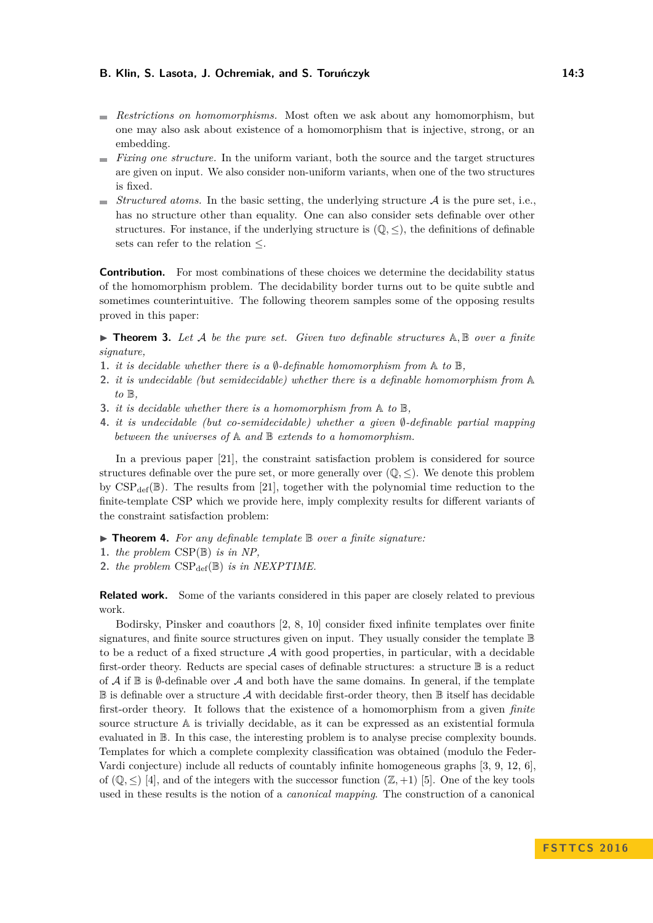- *Restrictions on homomorphisms.* Most often we ask about any homomorphism, but one may also ask about existence of a homomorphism that is injective, strong, or an embedding.
- *Fixing one structure.* In the uniform variant, both the source and the target structures are given on input. We also consider non-uniform variants, when one of the two structures is fixed.
- $\blacksquare$  *Structured atoms.* In the basic setting, the underlying structure  $\mathcal A$  is the pure set, i.e., has no structure other than equality. One can also consider sets definable over other structures. For instance, if the underlying structure is  $(\mathbb{Q}, \leq)$ , the definitions of definable sets can refer to the relation ≤.

**Contribution.** For most combinations of these choices we determine the decidability status of the homomorphism problem. The decidability border turns out to be quite subtle and sometimes counterintuitive. The following theorem samples some of the opposing results proved in this paper:

<span id="page-2-0"></span> $\triangleright$  **Theorem 3.** Let A be the pure set. Given two definable structures  $A, B$  over a finite *signature,*

- **1.** *it is decidable whether there is a*  $\emptyset$ -definable homomorphism from  $\mathbb A$  to  $\mathbb B$ ,
- **2.** *it is undecidable (but semidecidable) whether there is a definable homomorphism from* A *to* B*,*
- **3.** *it is decidable whether there is a homomorphism from* A *to* B*,*
- **4.** *it is undecidable (but co-semidecidable) whether a given* ∅*-definable partial mapping between the universes of* A *and* B *extends to a homomorphism.*

In a previous paper [\[21\]](#page-13-2), the constraint satisfaction problem is considered for source structures definable over the pure set, or more generally over  $(\mathbb{Q}, \leq)$ . We denote this problem by  $CSP_{def}(\mathbb{B})$ . The results from [\[21\]](#page-13-2), together with the polynomial time reduction to the finite-template CSP which we provide here, imply complexity results for different variants of the constraint satisfaction problem:

<span id="page-2-1"></span>▶ **Theorem 4.** For any definable template **B** over a finite signature:

- **1.** *the problem* CSP(B) *is in NP,*
- 2. *the problem*  $CSP_{def}(\mathbb{B})$  *is in NEXPTIME.*

**Related work.** Some of the variants considered in this paper are closely related to previous work.

Bodirsky, Pinsker and coauthors [\[2,](#page-13-3) [8,](#page-13-4) [10\]](#page-13-5) consider fixed infinite templates over finite signatures, and finite source structures given on input. They usually consider the template B to be a reduct of a fixed structure  $A$  with good properties, in particular, with a decidable first-order theory. Reducts are special cases of definable structures: a structure B is a reduct of A if  $\mathbb B$  is  $\emptyset$ -definable over A and both have the same domains. In general, if the template  $\mathbb B$  is definable over a structure A with decidable first-order theory, then  $\mathbb B$  itself has decidable first-order theory. It follows that the existence of a homomorphism from a given *finite* source structure A is trivially decidable, as it can be expressed as an existential formula evaluated in B. In this case, the interesting problem is to analyse precise complexity bounds. Templates for which a complete complexity classification was obtained (modulo the Feder-Vardi conjecture) include all reducts of countably infinite homogeneous graphs [\[3,](#page-13-6) [9,](#page-13-7) [12,](#page-13-8) [6\]](#page-13-9), of  $(\mathbb{Q}, \leq)$  [\[4\]](#page-13-10), and of the integers with the successor function  $(\mathbb{Z}, +1)$  [\[5\]](#page-13-11). One of the key tools used in these results is the notion of a *canonical mapping*. The construction of a canonical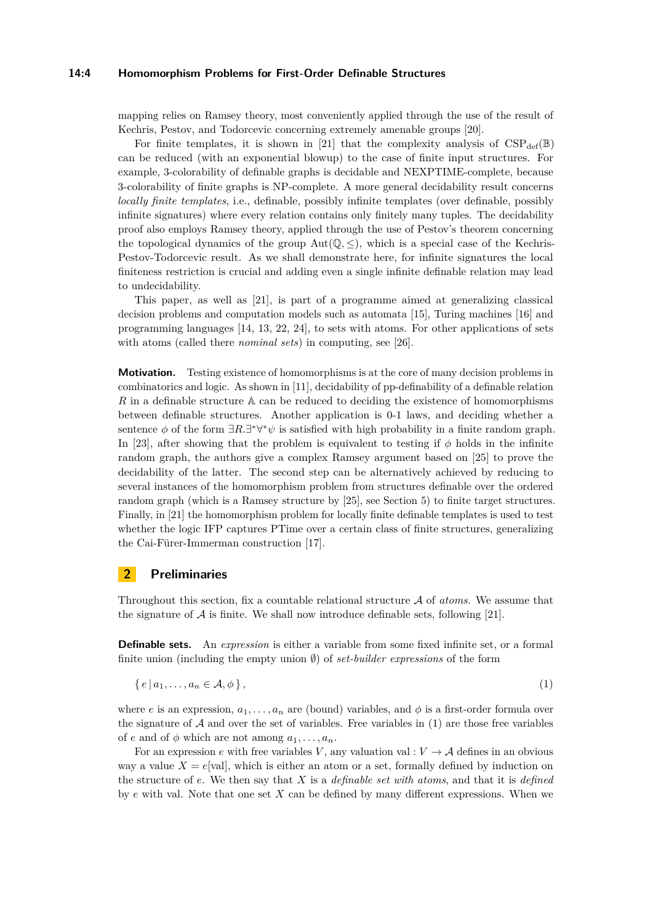#### **14:4 Homomorphism Problems for First-Order Definable Structures**

mapping relies on Ramsey theory, most conveniently applied through the use of the result of Kechris, Pestov, and Todorcevic concerning extremely amenable groups [\[20\]](#page-13-12).

For finite templates, it is shown in [\[21\]](#page-13-2) that the complexity analysis of  $CSP_{def}(\mathbb{B})$ can be reduced (with an exponential blowup) to the case of finite input structures. For example, 3-colorability of definable graphs is decidable and NEXPTIME-complete, because 3-colorability of finite graphs is NP-complete. A more general decidability result concerns *locally finite templates*, i.e., definable, possibly infinite templates (over definable, possibly infinite signatures) where every relation contains only finitely many tuples. The decidability proof also employs Ramsey theory, applied through the use of Pestov's theorem concerning the topological dynamics of the group  $Aut(\mathbb{Q}, \leq)$ , which is a special case of the Kechris-Pestov-Todorcevic result. As we shall demonstrate here, for infinite signatures the local finiteness restriction is crucial and adding even a single infinite definable relation may lead to undecidability.

This paper, as well as [\[21\]](#page-13-2), is part of a programme aimed at generalizing classical decision problems and computation models such as automata [\[15\]](#page-13-13), Turing machines [\[16\]](#page-13-14) and programming languages [\[14,](#page-13-15) [13,](#page-13-16) [22,](#page-13-17) [24\]](#page-14-1), to sets with atoms. For other applications of sets with atoms (called there *nominal sets*) in computing, see [\[26\]](#page-14-2).

**Motivation.** Testing existence of homomorphisms is at the core of many decision problems in combinatorics and logic. As shown in [\[11\]](#page-13-18), decidability of pp-definability of a definable relation *R* in a definable structure A can be reduced to deciding the existence of homomorphisms between definable structures. Another application is 0-1 laws, and deciding whether a sentence  $\phi$  of the form  $\exists R.\exists^*\forall^*\psi$  is satisfied with high probability in a finite random graph. In [\[23\]](#page-13-19), after showing that the problem is equivalent to testing if *φ* holds in the infinite random graph, the authors give a complex Ramsey argument based on [\[25\]](#page-14-3) to prove the decidability of the latter. The second step can be alternatively achieved by reducing to several instances of the homomorphism problem from structures definable over the ordered random graph (which is a Ramsey structure by [\[25\]](#page-14-3), see Section [5\)](#page-11-0) to finite target structures. Finally, in [\[21\]](#page-13-2) the homomorphism problem for locally finite definable templates is used to test whether the logic IFP captures PTime over a certain class of finite structures, generalizing the Cai-Fürer-Immerman construction [\[17\]](#page-13-20).

# <span id="page-3-0"></span>**2 Preliminaries**

Throughout this section, fix a countable relational structure A of *atoms*. We assume that the signature of  $A$  is finite. We shall now introduce definable sets, following [\[21\]](#page-13-2).

**Definable sets.** An *expression* is either a variable from some fixed infinite set, or a formal finite union (including the empty union ∅) of *set-builder expressions* of the form

<span id="page-3-1"></span>
$$
\{e \mid a_1, \ldots, a_n \in \mathcal{A}, \phi\},\tag{1}
$$

where *e* is an expression,  $a_1, \ldots, a_n$  are (bound) variables, and  $\phi$  is a first-order formula over the signature of  $A$  and over the set of variables. Free variables in  $(1)$  are those free variables of *e* and of  $\phi$  which are not among  $a_1, \ldots, a_n$ .

For an expression *e* with free variables *V*, any valuation val :  $V \rightarrow A$  defines in an obvious way a value  $X = e[val]$ , which is either an atom or a set, formally defined by induction on the structure of *e*. We then say that *X* is a *definable set with atoms*, and that it is *defined* by *e* with val. Note that one set *X* can be defined by many different expressions. When we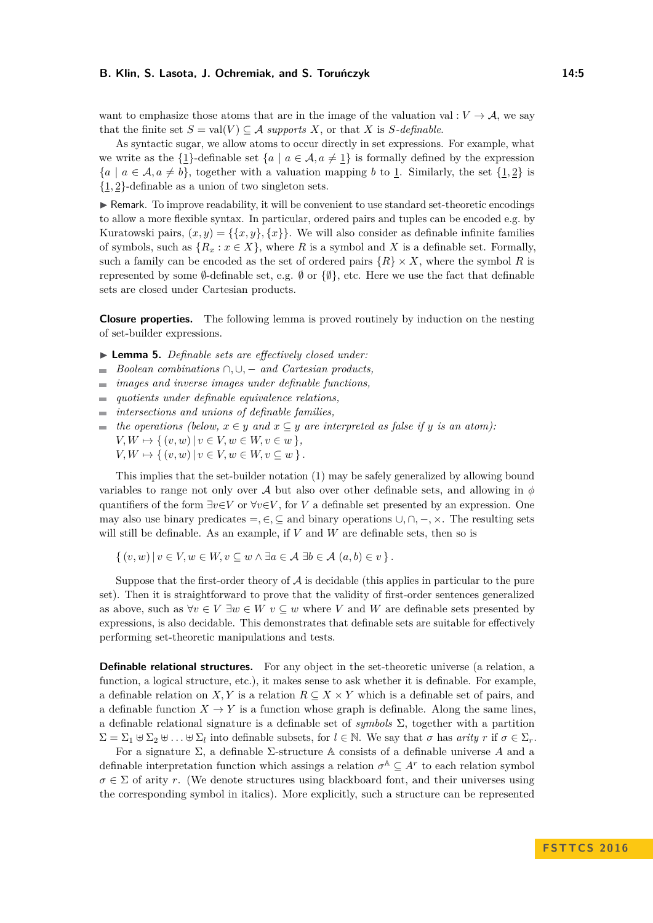As syntactic sugar, we allow atoms to occur directly in set expressions. For example, what we write as the  $\{1\}$ -definable set  $\{a \mid a \in \mathcal{A}, a \neq 1\}$  is formally defined by the expression  ${a \mid a \in \mathcal{A}, a \neq b}$ , together with a valuation mapping *b* to 1. Similarly, the set  $\{1,2\}$  is {1*,* 2}-definable as a union of two singleton sets.

 $\triangleright$  Remark. To improve readability, it will be convenient to use standard set-theoretic encodings to allow a more flexible syntax. In particular, ordered pairs and tuples can be encoded e.g. by Kuratowski pairs,  $(x, y) = \{\{x, y\}, \{x\}\}\.$  We will also consider as definable infinite families of symbols, such as  ${R_x : x \in X}$ , where *R* is a symbol and *X* is a definable set. Formally, such a family can be encoded as the set of ordered pairs  ${R} \times X$ , where the symbol R is represented by some  $\emptyset$ -definable set, e.g.  $\emptyset$  or  $\{\emptyset\}$ , etc. Here we use the fact that definable sets are closed under Cartesian products.

**Closure properties.** The following lemma is proved routinely by induction on the nesting of set-builder expressions.

- <span id="page-4-0"></span>I **Lemma 5.** *Definable sets are effectively closed under:*
- *Boolean combinations* ∩*,* ∪*,* − *and Cartesian products,*  $\sim$
- *images and inverse images under definable functions,*  $\overline{a}$
- *quotients under definable equivalence relations,*  $\overline{\phantom{a}}$
- *intersections and unions of definable families,*  $\overline{a}$
- $\bullet$  *the operations (below,*  $x \in y$  *and*  $x \subseteq y$  *are interpreted as false if y is an atom):*  $V, W \mapsto \{ (v, w) | v \in V, w \in W, v \in w \},\$  $V, W \mapsto \{ (v, w) | v \in V, w \in W, v \subseteq w \}.$

This implies that the set-builder notation [\(1\)](#page-3-1) may be safely generalized by allowing bound variables to range not only over A but also over other definable sets, and allowing in  $\phi$ quantifiers of the form  $\exists v \in V$  or  $\forall v \in V$ , for *V* a definable set presented by an expression. One may also use binary predicates =*,* ∈*,* ⊆ and binary operations ∪*,* ∩*,* −*,* ×. The resulting sets will still be definable. As an example, if *V* and *W* are definable sets, then so is

 $\{(v, w) | v \in V, w \in W, v \subseteq w \land \exists a \in A \exists b \in A \ (a, b) \in v \}.$ 

Suppose that the first-order theory of  $A$  is decidable (this applies in particular to the pure set). Then it is straightforward to prove that the validity of first-order sentences generalized as above, such as  $\forall v \in V \exists w \in W \ v \subseteq w$  where *V* and *W* are definable sets presented by expressions, is also decidable. This demonstrates that definable sets are suitable for effectively performing set-theoretic manipulations and tests.

<span id="page-4-1"></span>**Definable relational structures.** For any object in the set-theoretic universe (a relation, a function, a logical structure, etc.), it makes sense to ask whether it is definable. For example, a definable relation on *X, Y* is a relation  $R \subseteq X \times Y$  which is a definable set of pairs, and a definable function  $X \to Y$  is a function whose graph is definable. Along the same lines, a definable relational signature is a definable set of *symbols* Σ, together with a partition  $\Sigma = \Sigma_1 \oplus \Sigma_2 \oplus \ldots \oplus \Sigma_l$  into definable subsets, for  $l \in \mathbb{N}$ . We say that  $\sigma$  has *arity*  $r$  if  $\sigma \in \Sigma_r$ .

For a signature Σ, a definable Σ-structure A consists of a definable universe *A* and a definable interpretation function which assings a relation  $\sigma^{\mathbb{A}} \subseteq A^r$  to each relation symbol  $\sigma \in \Sigma$  of arity *r*. (We denote structures using blackboard font, and their universes using the corresponding symbol in italics). More explicitly, such a structure can be represented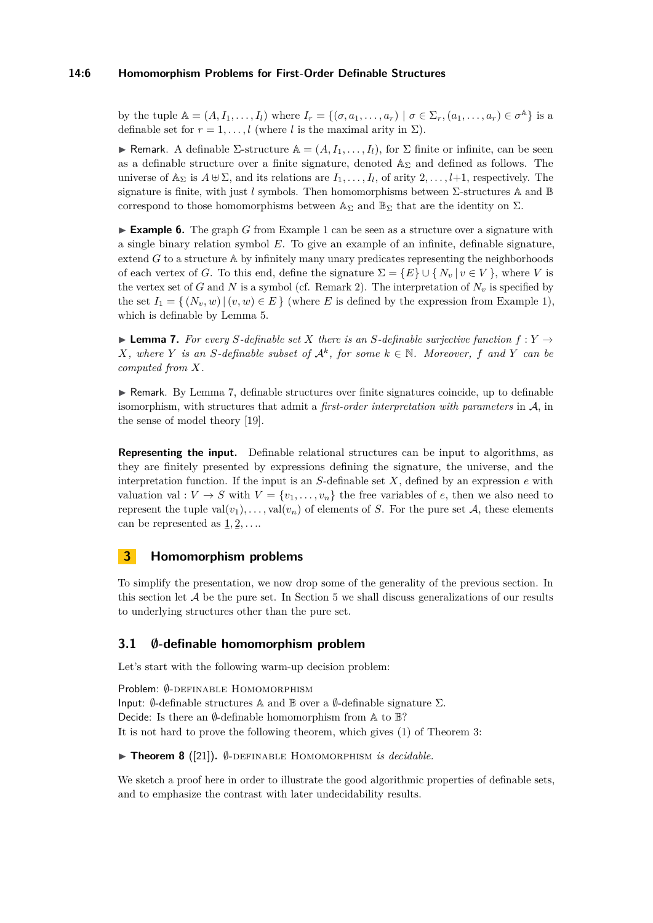## **14:6 Homomorphism Problems for First-Order Definable Structures**

by the tuple  $\mathbb{A} = (A, I_1, \ldots, I_l)$  where  $I_r = \{(\sigma, a_1, \ldots, a_r) \mid \sigma \in \Sigma_r, (a_1, \ldots, a_r) \in \sigma^{\mathbb{A}}\}$  is a definable set for  $r = 1, \ldots, l$  (where *l* is the maximal arity in  $\Sigma$ ).

**F** Remark. A definable  $\Sigma$ -structure  $\mathbb{A} = (A, I_1, \ldots, I_l)$ , for  $\Sigma$  finite or infinite, can be seen as a definable structure over a finite signature, denoted  $\mathbb{A}_{\Sigma}$  and defined as follows. The universe of  $\mathbb{A}_{\Sigma}$  is  $A \cup \Sigma$ , and its relations are  $I_1, \ldots, I_l$ , of arity  $2, \ldots, l+1$ , respectively. The signature is finite, with just *l* symbols. Then homomorphisms between Σ-structures A and B correspond to those homomorphisms between  $\mathbb{A}_{\Sigma}$  and  $\mathbb{B}_{\Sigma}$  that are the identity on  $\Sigma$ .

► **Example 6.** The graph *G* from Example [1](#page-0-0) can be seen as a structure over a signature with a single binary relation symbol *E*. To give an example of an infinite, definable signature, extend  $G$  to a structure  $A$  by infinitely many unary predicates representing the neighborhoods of each vertex of *G*. To this end, define the signature  $\Sigma = \{E\} \cup \{N_v | v \in V\}$ , where *V* is the vertex set of *G* and *N* is a symbol (cf. Remark [2\)](#page-3-1). The interpretation of  $N_v$  is specified by the set  $I_1 = \{(N_v, w) | (v, w) \in E\}$  (where *E* is defined by the expression from Example [1\)](#page-0-0), which is definable by Lemma [5.](#page-4-0)

<span id="page-5-0"></span>**Lemma 7.** For every S-definable set X there is an S-definable surjective function  $f: Y \rightarrow$ *X*, where *Y is an S*-definable subset of  $\mathcal{A}^k$ , for some  $k \in \mathbb{N}$ . Moreover, f and *Y* can be *computed from X.*

 $\triangleright$  Remark. By Lemma [7,](#page-5-0) definable structures over finite signatures coincide, up to definable isomorphism, with structures that admit a *first-order interpretation with parameters* in A, in the sense of model theory [\[19\]](#page-13-0).

**Representing the input.** Definable relational structures can be input to algorithms, as they are finitely presented by expressions defining the signature, the universe, and the interpretation function. If the input is an  $S$ -definable set  $X$ , defined by an expression  $e$  with valuation val :  $V \to S$  with  $V = \{v_1, \ldots, v_n\}$  the free variables of *e*, then we also need to represent the tuple  $val(v_1), \ldots, val(v_n)$  of elements of *S*. For the pure set *A*, these elements can be represented as 1*,* 2*, . . .*.

# **3 Homomorphism problems**

To simplify the presentation, we now drop some of the generality of the previous section. In this section let  $A$  be the pure set. In Section [5](#page-11-0) we shall discuss generalizations of our results to underlying structures other than the pure set.

# **3.1 ∅-definable homomorphism problem**

Let's start with the following warm-up decision problem:

Problem: Ø-DEFINABLE HOMOMORPHISM Input:  $\emptyset$ -definable structures A and B over a  $\emptyset$ -definable signature  $\Sigma$ . Decide: Is there an  $\emptyset$ -definable homomorphism from A to  $\mathbb{B}$ ? It is not hard to prove the following theorem, which gives (1) of Theorem [3:](#page-2-0)

<span id="page-5-1"></span>I **Theorem 8** ([\[21\]](#page-13-2))**.** ∅-definable Homomorphism *is decidable.*

We sketch a proof here in order to illustrate the good algorithmic properties of definable sets, and to emphasize the contrast with later undecidability results.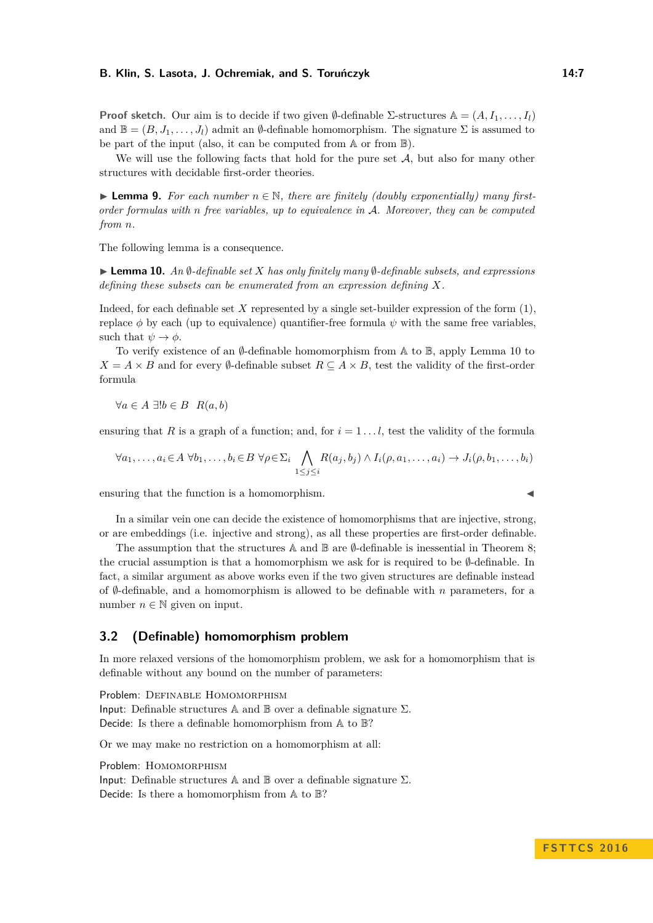**Proof sketch.** Our aim is to decide if two given  $\emptyset$ -definable Σ-structures  $\mathbb{A} = (A, I_1, \ldots, I_l)$ and  $\mathbb{B} = (B, J_1, \ldots, J_l)$  admit an  $\emptyset$ -definable homomorphism. The signature  $\Sigma$  is assumed to be part of the input (also, it can be computed from A or from B).

We will use the following facts that hold for the pure set  $A$ , but also for many other structures with decidable first-order theories.

**Lemma 9.** For each number  $n \in \mathbb{N}$ , there are finitely (doubly exponentially) many first*order formulas with n free variables, up to equivalence in* A*. Moreover, they can be computed from n.*

The following lemma is a consequence.

<span id="page-6-0"></span>I **Lemma 10.** *An* ∅*-definable set X has only finitely many* ∅*-definable subsets, and expressions defining these subsets can be enumerated from an expression defining X.*

Indeed, for each definable set *X* represented by a single set-builder expression of the form [\(1\)](#page-3-1), replace  $\phi$  by each (up to equivalence) quantifier-free formula  $\psi$  with the same free variables, such that  $\psi \to \phi$ .

To verify existence of an  $\emptyset$ -definable homomorphism from A to  $\mathbb{B}$ , apply Lemma [10](#page-6-0) to  $X = A \times B$  and for every  $\emptyset$ -definable subset  $R \subseteq A \times B$ , test the validity of the first-order formula

 $∀a ∈ A ∃!b ∈ B$   $R(a, b)$ 

ensuring that *R* is a graph of a function; and, for  $i = 1...l$ , test the validity of the formula

$$
\forall a_1, \ldots, a_i \in A \; \forall b_1, \ldots, b_i \in B \; \forall \rho \in \Sigma_i \bigwedge_{1 \leq j \leq i} R(a_j, b_j) \land I_i(\rho, a_1, \ldots, a_i) \rightarrow J_i(\rho, b_1, \ldots, b_i)
$$

 $\blacksquare$  ensuring that the function is a homomorphism.

In a similar vein one can decide the existence of homomorphisms that are injective, strong, or are embeddings (i.e. injective and strong), as all these properties are first-order definable.

The assumption that the structures  $\mathbb A$  and  $\mathbb B$  are  $\emptyset$ -definable is inessential in Theorem [8;](#page-5-1) the crucial assumption is that a homomorphism we ask for is required to be  $\emptyset$ -definable. In fact, a similar argument as above works even if the two given structures are definable instead of  $\emptyset$ -definable, and a homomorphism is allowed to be definable with *n* parameters, for a number  $n \in \mathbb{N}$  given on input.

## **3.2 (Definable) homomorphism problem**

In more relaxed versions of the homomorphism problem, we ask for a homomorphism that is definable without any bound on the number of parameters:

Problem: DEFINABLE HOMOMORPHISM Input: Definable structures A and  $\mathbb B$  over a definable signature  $\Sigma$ . Decide: Is there a definable homomorphism from A to B?

Or we may make no restriction on a homomorphism at all:

Problem: HOMOMORPHISM Input: Definable structures A and  $\mathbb B$  over a definable signature  $\Sigma$ . Decide: Is there a homomorphism from A to B?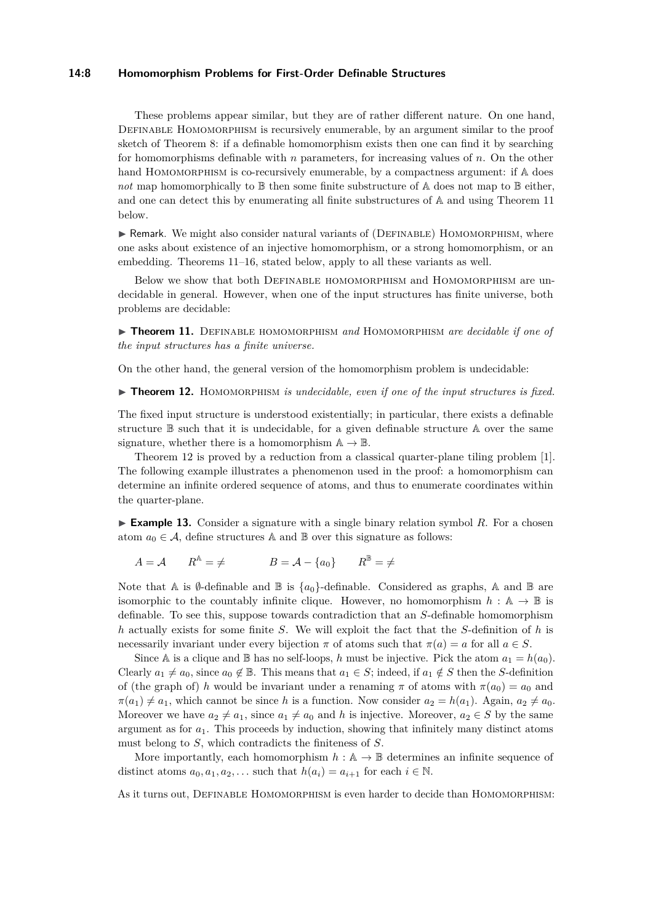#### **14:8 Homomorphism Problems for First-Order Definable Structures**

These problems appear similar, but they are of rather different nature. On one hand, DEFINABLE HOMOMORPHISM is recursively enumerable, by an argument similar to the proof sketch of Theorem [8:](#page-5-1) if a definable homomorphism exists then one can find it by searching for homomorphisms definable with *n* parameters, for increasing values of *n*. On the other hand HOMOMORPHISM is co-recursively enumerable, by a compactness argument: if  $A$  does *not* map homomorphically to  $\mathbb B$  then some finite substructure of A does not map to  $\mathbb B$  either, and one can detect this by enumerating all finite substructures of A and using Theorem [11](#page-7-0) below.

 $\triangleright$  Remark. We might also consider natural variants of (DEFINABLE) HOMOMORPHISM, where one asks about existence of an injective homomorphism, or a strong homomorphism, or an embedding. Theorems [11–](#page-7-0)[16,](#page-8-0) stated below, apply to all these variants as well.

Below we show that both Definable homomorphism and Homomorphism are undecidable in general. However, when one of the input structures has finite universe, both problems are decidable:

<span id="page-7-0"></span>▶ **Theorem 11.** DEFINABLE HOMOMORPHISM and HOMOMORPHISM are decidable if one of *the input structures has a finite universe.*

On the other hand, the general version of the homomorphism problem is undecidable:

<span id="page-7-1"></span>▶ **Theorem 12.** HOMOMORPHISM *is undecidable, even if one of the input structures is fixed.* 

The fixed input structure is understood existentially; in particular, there exists a definable structure B such that it is undecidable, for a given definable structure A over the same signature, whether there is a homomorphism  $\mathbb{A} \to \mathbb{B}$ .

Theorem [12](#page-7-1) is proved by a reduction from a classical quarter-plane tiling problem [\[1\]](#page-12-0). The following example illustrates a phenomenon used in the proof: a homomorphism can determine an infinite ordered sequence of atoms, and thus to enumerate coordinates within the quarter-plane.

<span id="page-7-2"></span>**Example 13.** Consider a signature with a single binary relation symbol R. For a chosen atom  $a_0 \in \mathcal{A}$ , define structures A and B over this signature as follows:

 $A = \mathcal{A}$   $R^{\mathbb{A}} = \neq$   $B = \mathcal{A} - \{a_0\}$   $R^{\mathbb{B}} = \neq$ 

Note that A is  $\emptyset$ -definable and B is  $\{a_0\}$ -definable. Considered as graphs, A and B are isomorphic to the countably infinite clique. However, no homomorphism  $h : \mathbb{A} \to \mathbb{B}$  is definable. To see this, suppose towards contradiction that an *S*-definable homomorphism *h* actually exists for some finite *S*. We will exploit the fact that the *S*-definition of *h* is necessarily invariant under every bijection  $\pi$  of atoms such that  $\pi(a) = a$  for all  $a \in S$ .

Since A is a clique and B has no self-loops, *h* must be injective. Pick the atom  $a_1 = h(a_0)$ . Clearly  $a_1 \neq a_0$ , since  $a_0 \notin \mathbb{B}$ . This means that  $a_1 \in S$ ; indeed, if  $a_1 \notin S$  then the *S*-definition of (the graph of) *h* would be invariant under a renaming  $\pi$  of atoms with  $\pi(a_0) = a_0$  and  $\pi(a_1) \neq a_1$ , which cannot be since *h* is a function. Now consider  $a_2 = h(a_1)$ . Again,  $a_2 \neq a_0$ . Moreover we have  $a_2 \neq a_1$ , since  $a_1 \neq a_0$  and *h* is injective. Moreover,  $a_2 \in S$  by the same argument as for  $a_1$ . This proceeds by induction, showing that infinitely many distinct atoms must belong to *S*, which contradicts the finiteness of *S*.

More importantly, each homomorphism  $h : A \to \mathbb{B}$  determines an infinite sequence of distinct atoms  $a_0, a_1, a_2, \ldots$  such that  $h(a_i) = a_{i+1}$  for each  $i \in \mathbb{N}$ .

As it turns out, Definable Homomorphism is even harder to decide than Homomorphism: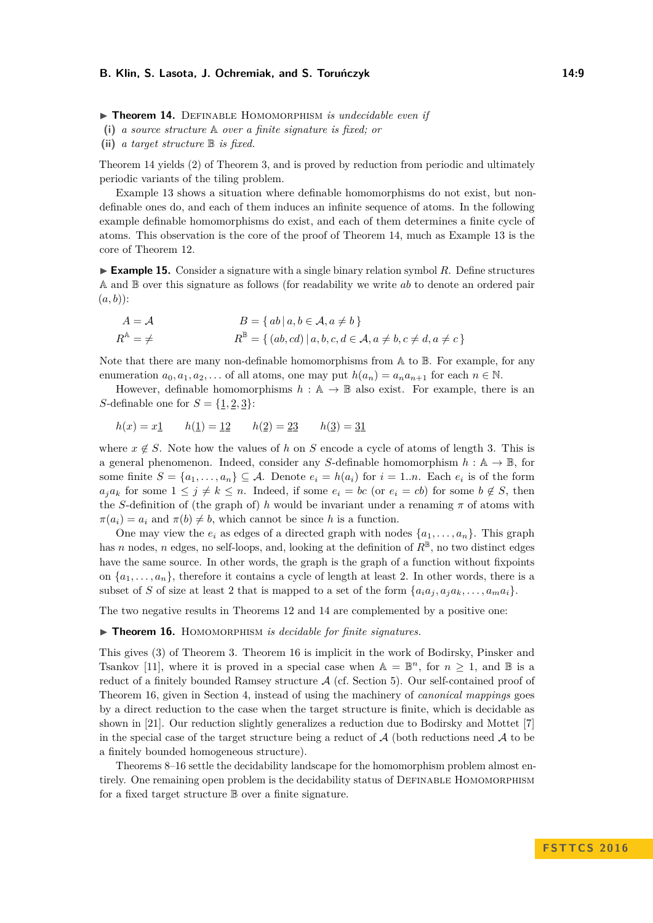<span id="page-8-1"></span>**Theorem 14.** DEFINABLE HOMOMORPHISM *is undecidable even if* 

**(i)** *a source structure* A *over a finite signature is fixed; or*

**(ii)** *a target structure* B *is fixed.*

Theorem [14](#page-8-1) yields (2) of Theorem [3,](#page-2-0) and is proved by reduction from periodic and ultimately periodic variants of the tiling problem.

Example [13](#page-7-2) shows a situation where definable homomorphisms do not exist, but nondefinable ones do, and each of them induces an infinite sequence of atoms. In the following example definable homomorphisms do exist, and each of them determines a finite cycle of atoms. This observation is the core of the proof of Theorem [14,](#page-8-1) much as Example [13](#page-7-2) is the core of Theorem [12.](#page-7-1)

► Example 15. Consider a signature with a single binary relation symbol R. Define structures A and B over this signature as follows (for readability we write *ab* to denote an ordered pair (*a, b*)):

$$
A = \mathcal{A}
$$
  
\n
$$
B = \{ ab \mid a, b \in \mathcal{A}, a \neq b \}
$$
  
\n
$$
R^{\mathbb{A}} = \neq
$$
  
\n
$$
R^{\mathbb{B}} = \{ (ab, cd) \mid a, b, c, d \in \mathcal{A}, a \neq b, c \neq d, a \neq c \}
$$

Note that there are many non-definable homomorphisms from  $A$  to  $B$ . For example, for any enumeration  $a_0, a_1, a_2, \ldots$  of all atoms, one may put  $h(a_n) = a_n a_{n+1}$  for each  $n \in \mathbb{N}$ .

However, definable homomorphisms  $h : \mathbb{A} \to \mathbb{B}$  also exist. For example, there is an *S*-definable one for  $S = \{1, 2, 3\}$ :

$$
h(x) = x_1
$$
  $h(\underline{1}) = \underline{12}$   $h(\underline{2}) = \underline{23}$   $h(\underline{3}) = \underline{31}$ 

where  $x \notin S$ . Note how the values of *h* on *S* encode a cycle of atoms of length 3. This is a general phenomenon. Indeed, consider any *S*-definable homomorphism  $h : \mathbb{A} \to \mathbb{B}$ , for some finite  $S = \{a_1, \ldots, a_n\} \subseteq \mathcal{A}$ . Denote  $e_i = h(a_i)$  for  $i = 1..n$ . Each  $e_i$  is of the form  $a_j a_k$  for some  $1 \leq j \neq k \leq n$ . Indeed, if some  $e_i = bc$  (or  $e_i = cb$ ) for some  $b \notin S$ , then the *S*-definition of (the graph of) *h* would be invariant under a renaming  $\pi$  of atoms with  $\pi(a_i) = a_i$  and  $\pi(b) \neq b$ , which cannot be since *h* is a function.

One may view the  $e_i$  as edges of a directed graph with nodes  $\{a_1, \ldots, a_n\}$ . This graph has *n* nodes, *n* edges, no self-loops, and, looking at the definition of  $R^{\mathbb{B}}$ , no two distinct edges have the same source. In other words, the graph is the graph of a function without fixpoints on  $\{a_1, \ldots, a_n\}$ , therefore it contains a cycle of length at least 2. In other words, there is a subset of *S* of size at least 2 that is mapped to a set of the form  $\{a_i a_j, a_j a_k, \ldots, a_m a_i\}$ .

The two negative results in Theorems [12](#page-7-1) and [14](#page-8-1) are complemented by a positive one:

#### <span id="page-8-0"></span>▶ Theorem 16. HOMOMORPHISM *is decidable for finite signatures.*

This gives (3) of Theorem [3.](#page-2-0) Theorem [16](#page-8-0) is implicit in the work of Bodirsky, Pinsker and Tsankov [\[11\]](#page-13-18), where it is proved in a special case when  $A = \mathbb{B}^n$ , for  $n \geq 1$ , and  $\mathbb{B}$  is a reduct of a finitely bounded Ramsey structure  $A$  (cf. Section [5\)](#page-11-0). Our self-contained proof of Theorem [16,](#page-8-0) given in Section [4,](#page-9-0) instead of using the machinery of *canonical mappings* goes by a direct reduction to the case when the target structure is finite, which is decidable as shown in [\[21\]](#page-13-2). Our reduction slightly generalizes a reduction due to Bodirsky and Mottet [\[7\]](#page-13-21) in the special case of the target structure being a reduct of  $A$  (both reductions need  $A$  to be a finitely bounded homogeneous structure).

Theorems [8–](#page-5-1)[16](#page-8-0) settle the decidability landscape for the homomorphism problem almost entirely. One remaining open problem is the decidability status of DEFINABLE HOMOMORPHISM for a fixed target structure B over a finite signature.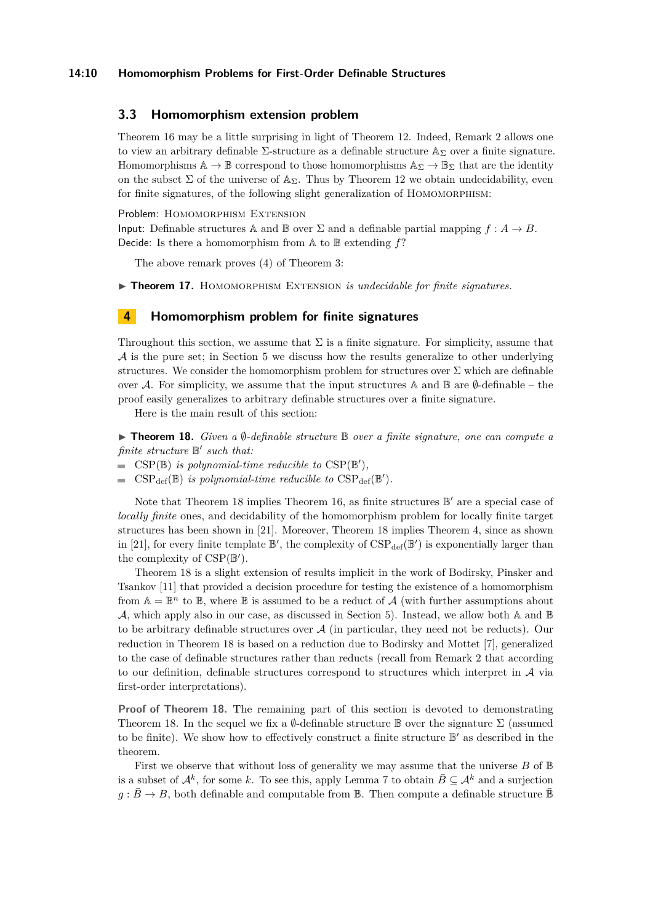#### **14:10 Homomorphism Problems for First-Order Definable Structures**

# **3.3 Homomorphism extension problem**

Theorem [16](#page-8-0) may be a little surprising in light of Theorem [12.](#page-7-1) Indeed, Remark [2](#page-4-1) allows one to view an arbitrary definable  $\Sigma$ -structure as a definable structure  $\mathbb{A}_{\Sigma}$  over a finite signature. Homomorphisms  $\mathbb{A} \to \mathbb{B}$  correspond to those homomorphisms  $\mathbb{A}_{\Sigma} \to \mathbb{B}_{\Sigma}$  that are the identity on the subset  $\Sigma$  of the universe of  $\mathbb{A}_{\Sigma}$ . Thus by Theorem [12](#page-7-1) we obtain undecidability, even for finite signatures, of the following slight generalization of HOMOMORPHISM:

Problem: HOMOMORPHISM EXTENSION

Input: Definable structures  $\mathbb A$  and  $\mathbb B$  over  $\Sigma$  and a definable partial mapping  $f : A \to B$ . Decide: Is there a homomorphism from A to B extending *f*?

The above remark proves (4) of Theorem [3:](#page-2-0)

<span id="page-9-2"></span>**Fineorem 17.** HOMOMORPHISM EXTENSION *is undecidable for finite signatures.* 

# <span id="page-9-0"></span>**4 Homomorphism problem for finite signatures**

Throughout this section, we assume that  $\Sigma$  is a finite signature. For simplicity, assume that A is the pure set; in Section [5](#page-11-0) we discuss how the results generalize to other underlying structures. We consider the homomorphism problem for structures over  $\Sigma$  which are definable over A. For simplicity, we assume that the input structures A and  $\mathbb B$  are  $\emptyset$ -definable – the proof easily generalizes to arbitrary definable structures over a finite signature.

Here is the main result of this section:

<span id="page-9-1"></span>**► Theorem 18.** *Given a*  $\emptyset$ -definable structure **B** *over a finite signature, one can compute a finite structure* B 0 *such that:*

- $CSP(\mathbb{B})$  *is polynomial-time reducible to*  $CSP(\mathbb{B}'),$
- $CSP_{def}(\mathbb{B})$  *is polynomial-time reducible to*  $CSP_{def}(\mathbb{B}^{\prime})$ *.*

Note that Theorem [18](#page-9-1) implies Theorem [16,](#page-8-0) as finite structures  $\mathbb{B}'$  are a special case of *locally finite* ones, and decidability of the homomorphism problem for locally finite target structures has been shown in [\[21\]](#page-13-2). Moreover, Theorem [18](#page-9-1) implies Theorem [4,](#page-2-1) since as shown in [\[21\]](#page-13-2), for every finite template  $\mathbb{B}'$ , the complexity of  $CSP_{def}(\mathbb{B}')$  is exponentially larger than the complexity of  $CSP(\mathbb{B}')$ .

Theorem [18](#page-9-1) is a slight extension of results implicit in the work of Bodirsky, Pinsker and Tsankov [\[11\]](#page-13-18) that provided a decision procedure for testing the existence of a homomorphism from  $A = \mathbb{B}^n$  to  $\mathbb{B}$ , where  $\mathbb{B}$  is assumed to be a reduct of A (with further assumptions about A, which apply also in our case, as discussed in Section [5\)](#page-11-0). Instead, we allow both A and  $\mathbb B$ to be arbitrary definable structures over  $A$  (in particular, they need not be reducts). Our reduction in Theorem [18](#page-9-1) is based on a reduction due to Bodirsky and Mottet [\[7\]](#page-13-21), generalized to the case of definable structures rather than reducts (recall from Remark [2](#page-5-0) that according to our definition, definable structures correspond to structures which interpret in A via first-order interpretations).

**Proof of Theorem [18.](#page-9-1)** The remaining part of this section is devoted to demonstrating Theorem [18.](#page-9-1) In the sequel we fix a  $\emptyset$ -definable structure B over the signature  $\Sigma$  (assumed to be finite). We show how to effectively construct a finite structure  $\mathbb{B}'$  as described in the theorem.

First we observe that without loss of generality we may assume that the universe *B* of B is a subset of  $\mathcal{A}^k$ , for some *k*. To see this, apply Lemma [7](#page-5-0) to obtain  $\bar{B} \subseteq \mathcal{A}^k$  and a surjection  $g : \bar{B} \to B$ , both definable and computable from  $\mathbb{B}$ . Then compute a definable structure  $\bar{\mathbb{B}}$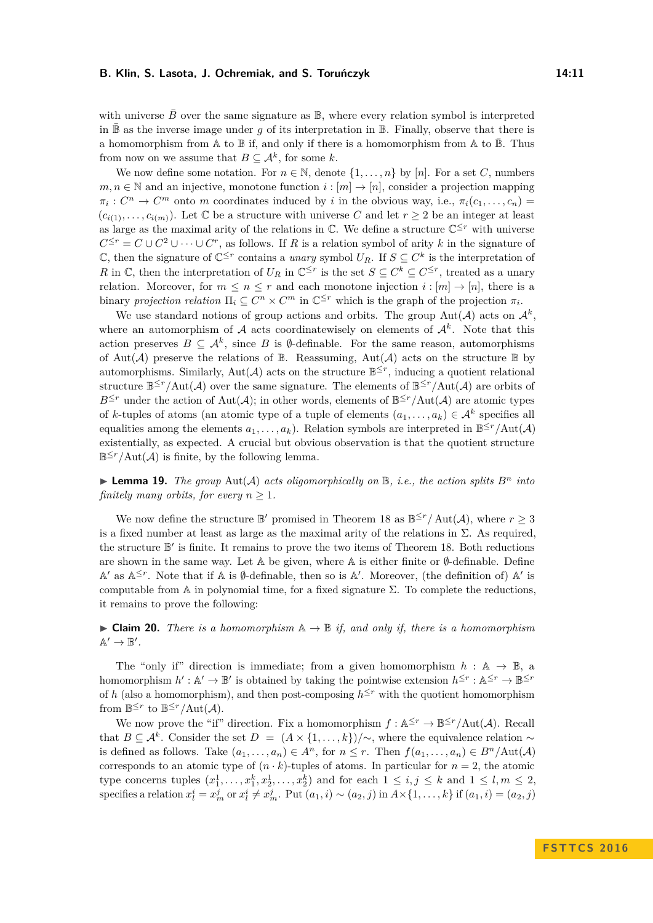with universe  $\bar{B}$  over the same signature as  $\mathbb{B}$ , where every relation symbol is interpreted in  $\mathbb B$  as the inverse image under *g* of its interpretation in  $\mathbb B$ . Finally, observe that there is a homomorphism from  $\mathbb A$  to  $\mathbb B$  if, and only if there is a homomorphism from  $\mathbb A$  to  $\mathbb B$ . Thus from now on we assume that  $B \subseteq \mathcal{A}^k$ , for some k.

We now define some notation. For  $n \in \mathbb{N}$ , denote  $\{1, \ldots, n\}$  by [*n*]. For a set *C*, numbers  $m, n \in \mathbb{N}$  and an injective, monotone function  $i : [m] \to [n]$ , consider a projection mapping  $\pi_i: C^n \to C^m$  onto *m* coordinates induced by *i* in the obvious way, i.e.,  $\pi_i(c_1, \ldots, c_n)$  $(c_{i(1)}, \ldots, c_{i(m)})$ . Let C be a structure with universe C and let  $r \geq 2$  be an integer at least as large as the maximal arity of the relations in  $\mathbb{C}$ . We define a structure  $\mathbb{C}^{\leq r}$  with universe  $C^{\leq r} = C \cup C^2 \cup \cdots \cup C^r$ , as follows. If *R* is a relation symbol of arity *k* in the signature of  $\mathbb{C}$ , then the signature of  $\mathbb{C}^{\leq r}$  contains a *unary* symbol  $U_R$ . If *S* ⊆  $C^k$  is the interpretation of *R* in  $\mathbb{C}$ , then the interpretation of  $U_R$  in  $\mathbb{C}^{\leq r}$  is the set  $S \subseteq C^k \subseteq C^{\leq r}$ , treated as a unary relation. Moreover, for  $m \leq n \leq r$  and each monotone injection  $i : [m] \to [n]$ , there is a binary *projection relation*  $\Pi_i \subseteq C^n \times C^m$  in  $\mathbb{C}^{\leq r}$  which is the graph of the projection  $\pi_i$ .

We use standard notions of group actions and orbits. The group  $\text{Aut}(\mathcal{A})$  acts on  $\mathcal{A}^k$ , where an automorphism of  $A$  acts coordinatewisely on elements of  $A<sup>k</sup>$ . Note that this action preserves  $B \subseteq \mathcal{A}^k$ , since *B* is Ø-definable. For the same reason, automorphisms of Aut(A) preserve the relations of  $\mathbb B$ . Reassuming, Aut(A) acts on the structure  $\mathbb B$  by automorphisms. Similarly,  $Aut(\mathcal{A})$  acts on the structure  $\mathbb{B}^{\leq r}$ , inducing a quotient relational structure  $B \leq r / \text{Aut}(\mathcal{A})$  over the same signature. The elements of  $B \leq r / \text{Aut}(\mathcal{A})$  are orbits of  $B^{\leq r}$  under the action of Aut(A); in other words, elements of  $B^{\leq r}/\text{Aut}(\mathcal{A})$  are atomic types of *k*-tuples of atoms (an atomic type of a tuple of elements  $(a_1, \ldots, a_k) \in A^k$  specifies all equalities among the elements  $a_1, \ldots, a_k$ ). Relation symbols are interpreted in  $\mathbb{B}^{\leq r}/\text{Aut}(\mathcal{A})$ existentially, as expected. A crucial but obvious observation is that the quotient structure  $B^{\leq r}/\text{Aut}(\mathcal{A})$  is finite, by the following lemma.

 $\blacktriangleright$  **Lemma 19.** *The group* Aut(A) *acts oligomorphically on*  $\mathbb{B}$ *, i.e., the action splits*  $B^n$  *into finitely many orbits, for every*  $n \geq 1$ *.* 

We now define the structure  $\mathbb{B}'$  promised in Theorem [18](#page-9-1) as  $\mathbb{B}^{\leq r}/\text{Aut}(\mathcal{A})$ , where  $r \geq 3$ is a fixed number at least as large as the maximal arity of the relations in  $\Sigma$ . As required, the structure  $\mathbb{B}'$  is finite. It remains to prove the two items of Theorem [18.](#page-9-1) Both reductions are shown in the same way. Let  $A$  be given, where  $A$  is either finite or  $\emptyset$ -definable. Define  $\mathbb{A}'$  as  $\mathbb{A}^{\leq r}$ . Note that if  $\mathbb A$  is  $\emptyset$ -definable, then so is  $\mathbb A'$ . Moreover, (the definition of)  $\mathbb A'$  is computable from A in polynomial time, for a fixed signature  $\Sigma$ . To complete the reductions, it remains to prove the following:

<span id="page-10-0"></span> $▶$  **Claim 20.** *There is a homomorphism*  $\mathbb{A} \to \mathbb{B}$  *if, and only if, there is a homomorphism*  $\mathbb{A}' \to \mathbb{B}'.$ 

The "only if" direction is immediate; from a given homomorphism  $h : A \rightarrow \mathbb{B}$ , a homomorphism  $h': \mathbb{A}' \to \mathbb{B}'$  is obtained by taking the pointwise extension  $h^{\leq r} : \mathbb{A}^{\leq r} \to \mathbb{B}^{\leq r}$ of *h* (also a homomorphism), and then post-composing  $h^{\leq r}$  with the quotient homomorphism from  $\mathbb{B}^{\leq r}$  to  $\mathbb{B}^{\leq r}/\text{Aut}(\mathcal{A})$ .

We now prove the "if" direction. Fix a homomorphism  $f : \mathbb{A}^{\leq r} \to \mathbb{B}^{\leq r}/\text{Aut}(\mathcal{A})$ . Recall that  $B \subseteq \mathcal{A}^k$ . Consider the set  $D = (A \times \{1, \ldots, k\})/\sim$ , where the equivalence relation  $\sim$ is defined as follows. Take  $(a_1, \ldots, a_n) \in A^n$ , for  $n \leq r$ . Then  $f(a_1, \ldots, a_n) \in B^n/\text{Aut}(\mathcal{A})$ corresponds to an atomic type of  $(n \cdot k)$ -tuples of atoms. In particular for  $n = 2$ , the atomic type concerns tuples  $(x_1^1, \ldots, x_1^k, x_2^1, \ldots, x_2^k)$  and for each  $1 \le i, j \le k$  and  $1 \le l, m \le 2$ , specifies a relation  $x_l^i = x_m^j$  or  $x_l^i \neq x_m^j$ . Put  $(a_1, i) \sim (a_2, j)$  in  $A \times \{1, \ldots, k\}$  if  $(a_1, i) = (a_2, j)$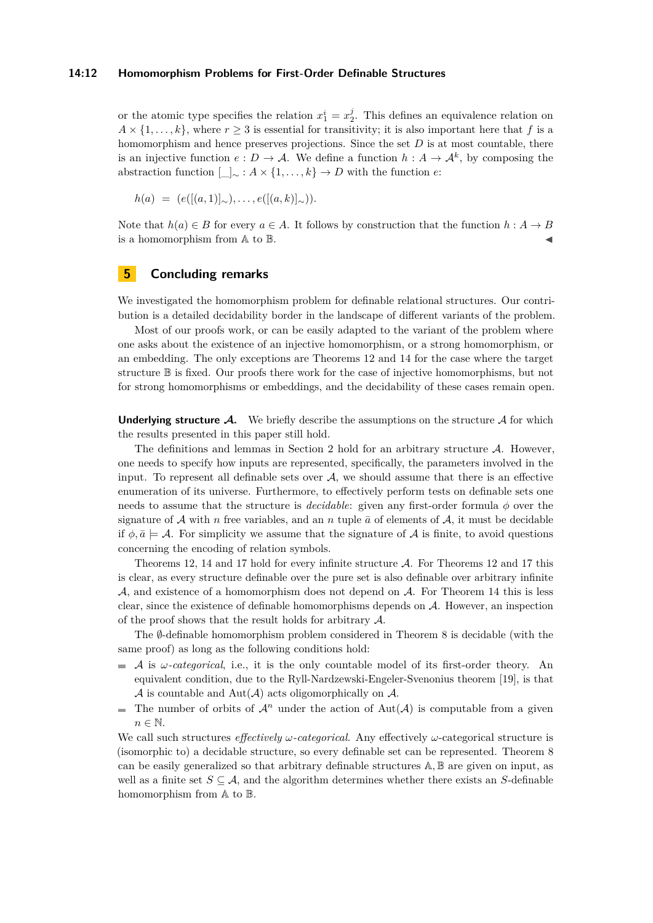#### **14:12 Homomorphism Problems for First-Order Definable Structures**

or the atomic type specifies the relation  $x_1^i = x_2^j$ . This defines an equivalence relation on  $A \times \{1, \ldots, k\}$ , where  $r \geq 3$  is essential for transitivity; it is also important here that *f* is a homomorphism and hence preserves projections. Since the set *D* is at most countable, there is an injective function  $e: D \to \mathcal{A}$ . We define a function  $h: A \to \mathcal{A}^k$ , by composing the abstraction function  $\Box \sim : A \times \{1, \ldots, k\} \rightarrow D$  with the function *e*:

$$
h(a) = (e([(a,1)]_{\sim}), \ldots, e([(a,k)]_{\sim})).
$$

Note that  $h(a) \in B$  for every  $a \in A$ . It follows by construction that the function  $h : A \rightarrow B$ is a homomorphism from  $A$  to  $B$ .

# <span id="page-11-0"></span>**5 Concluding remarks**

We investigated the homomorphism problem for definable relational structures. Our contribution is a detailed decidability border in the landscape of different variants of the problem.

Most of our proofs work, or can be easily adapted to the variant of the problem where one asks about the existence of an injective homomorphism, or a strong homomorphism, or an embedding. The only exceptions are Theorems [12](#page-7-1) and [14](#page-8-1) for the case where the target structure B is fixed. Our proofs there work for the case of injective homomorphisms, but not for strong homomorphisms or embeddings, and the decidability of these cases remain open.

**Underlying structure**  $\mathcal{A}$ **.** We briefly describe the assumptions on the structure  $\mathcal{A}$  for which the results presented in this paper still hold.

The definitions and lemmas in Section [2](#page-3-0) hold for an arbitrary structure  $A$ . However, one needs to specify how inputs are represented, specifically, the parameters involved in the input. To represent all definable sets over  $A$ , we should assume that there is an effective enumeration of its universe. Furthermore, to effectively perform tests on definable sets one needs to assume that the structure is *decidable*: given any first-order formula *φ* over the signature of  $A$  with *n* free variables, and an *n* tuple  $\bar{a}$  of elements of  $A$ , it must be decidable if  $\phi, \bar{a} \models \mathcal{A}$ . For simplicity we assume that the signature of  $\mathcal{A}$  is finite, to avoid questions concerning the encoding of relation symbols.

Theorems [12,](#page-7-1) [14](#page-8-1) and [17](#page-9-2) hold for every infinite structure A. For Theorems [12](#page-7-1) and [17](#page-9-2) this is clear, as every structure definable over the pure set is also definable over arbitrary infinite  $A$ , and existence of a homomorphism does not depend on  $A$ . For Theorem [14](#page-8-1) this is less clear, since the existence of definable homomorphisms depends on A. However, an inspection of the proof shows that the result holds for arbitrary  $A$ .

The *Ø*-definable homomorphism problem considered in Theorem [8](#page-5-1) is decidable (with the same proof) as long as the following conditions hold:

- A is *ω-categorical*, i.e., it is the only countable model of its first-order theory. An  $\frac{1}{2}$ equivalent condition, due to the Ryll-Nardzewski-Engeler-Svenonius theorem [\[19\]](#page-13-0), is that  $\mathcal A$  is countable and Aut $(\mathcal A)$  acts oligomorphically on  $\mathcal A$ .
- $\blacksquare$  The number of orbits of  $\mathcal{A}^n$  under the action of Aut( $\mathcal{A}$ ) is computable from a given  $n \in \mathbb{N}$ .

We call such structures *effectively ω-categorical*. Any effectively *ω*-categorical structure is (isomorphic to) a decidable structure, so every definable set can be represented. Theorem [8](#page-5-1) can be easily generalized so that arbitrary definable structures A*,* B are given on input, as well as a finite set  $S \subseteq A$ , and the algorithm determines whether there exists an *S*-definable homomorphism from A to B.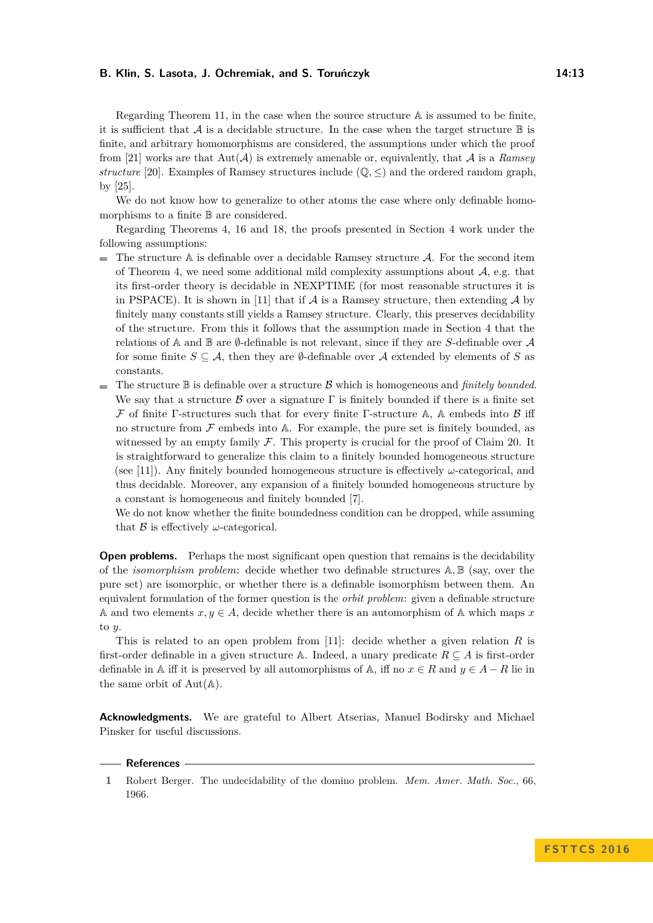Regarding Theorem [11,](#page-7-0) in the case when the source structure A is assumed to be finite, it is sufficient that  $\mathcal A$  is a decidable structure. In the case when the target structure  $\mathbb B$  is finite, and arbitrary homomorphisms are considered, the assumptions under which the proof from [\[21\]](#page-13-2) works are that  $Aut(\mathcal{A})$  is extremely amenable or, equivalently, that  $\mathcal{A}$  is a *Ramsey structure* [\[20\]](#page-13-12). Examples of Ramsey structures include  $(\mathbb{Q}, \leq)$  and the ordered random graph, by [\[25\]](#page-14-3).

We do not know how to generalize to other atoms the case where only definable homomorphisms to a finite B are considered.

Regarding Theorems [4,](#page-2-1) [16](#page-8-0) and [18,](#page-9-1) the proofs presented in Section [4](#page-9-0) work under the following assumptions:

- $\blacksquare$  The structure A is definable over a decidable Ramsey structure A. For the second item of Theorem [4,](#page-2-1) we need some additional mild complexity assumptions about  $A$ , e.g. that its first-order theory is decidable in NEXPTIME (for most reasonable structures it is in PSPACE). It is shown in [\[11\]](#page-13-18) that if  $A$  is a Ramsey structure, then extending  $A$  by finitely many constants still yields a Ramsey structure. Clearly, this preserves decidability of the structure. From this it follows that the assumption made in Section [4](#page-9-0) that the relations of A and B are  $\emptyset$ -definable is not relevant, since if they are *S*-definable over A for some finite  $S \subseteq A$ , then they are  $\emptyset$ -definable over A extended by elements of S as constants.
- $\blacksquare$  The structure  $\mathbb B$  is definable over a structure  $\mathcal B$  which is homogeneous and *finitely bounded*. We say that a structure B over a signature  $\Gamma$  is finitely bounded if there is a finite set  $\mathcal F$  of finite Γ-structures such that for every finite Γ-structure A, A embeds into  $\mathcal B$  iff no structure from  $\mathcal F$  embeds into A. For example, the pure set is finitely bounded, as witnessed by an empty family  $\mathcal F$ . This property is crucial for the proof of Claim [20.](#page-10-0) It is straightforward to generalize this claim to a finitely bounded homogeneous structure (see [\[11\]](#page-13-18)). Any finitely bounded homogeneous structure is effectively *ω*-categorical, and thus decidable. Moreover, any expansion of a finitely bounded homogeneous structure by a constant is homogeneous and finitely bounded [\[7\]](#page-13-21).

We do not know whether the finite boundedness condition can be dropped, while assuming that  $\beta$  is effectively  $\omega$ -categorical.

**Open problems.** Perhaps the most significant open question that remains is the decidability of the *isomorphism problem*: decide whether two definable structures A*,* B (say, over the pure set) are isomorphic, or whether there is a definable isomorphism between them. An equivalent formulation of the former question is the *orbit problem*: given a definable structure A and two elements  $x, y \in A$ , decide whether there is an automorphism of A which maps x to *y*.

This is related to an open problem from [\[11\]](#page-13-18): decide whether a given relation *R* is first-order definable in a given structure A. Indeed, a unary predicate  $R \subseteq A$  is first-order definable in A iff it is preserved by all automorphisms of A, iff no  $x \in R$  and  $y \in A - R$  lie in the same orbit of  $Aut(A)$ .

**Acknowledgments.** We are grateful to Albert Atserias, Manuel Bodirsky and Michael Pinsker for useful discussions.

#### **References**

<span id="page-12-0"></span>**<sup>1</sup>** Robert Berger. The undecidability of the domino problem. *Mem. Amer. Math. Soc.*, 66, 1966.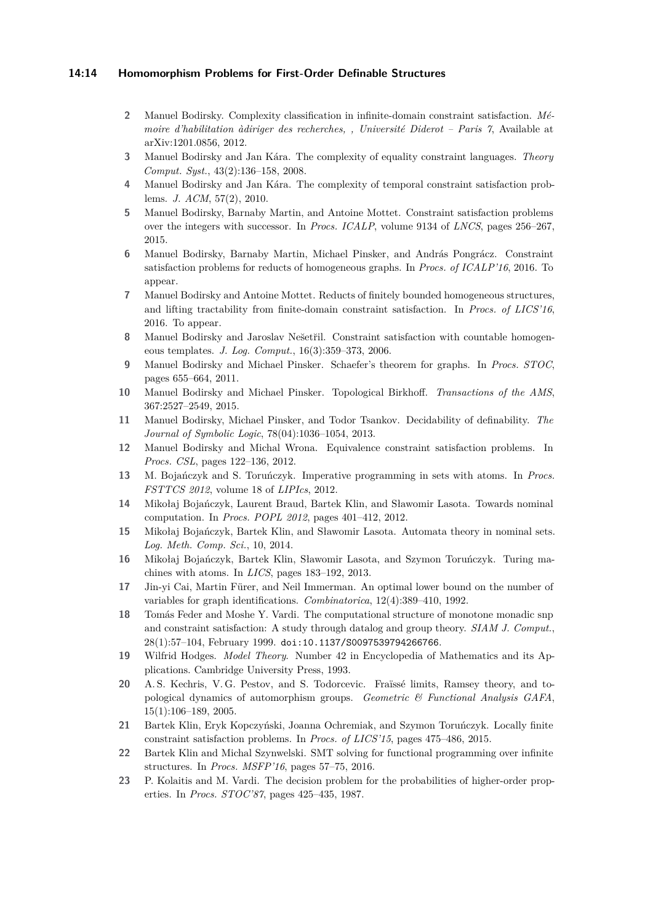## **14:14 Homomorphism Problems for First-Order Definable Structures**

- <span id="page-13-3"></span>**2** Manuel Bodirsky. Complexity classification in infinite-domain constraint satisfaction. *Mémoire d'habilitation àdiriger des recherches, , Université Diderot – Paris 7*, Available at arXiv:1201.0856, 2012.
- <span id="page-13-6"></span>**3** Manuel Bodirsky and Jan Kára. The complexity of equality constraint languages. *Theory Comput. Syst.*, 43(2):136–158, 2008.
- <span id="page-13-10"></span>**4** Manuel Bodirsky and Jan Kára. The complexity of temporal constraint satisfaction problems. *J. ACM*, 57(2), 2010.
- <span id="page-13-11"></span>**5** Manuel Bodirsky, Barnaby Martin, and Antoine Mottet. Constraint satisfaction problems over the integers with successor. In *Procs. ICALP*, volume 9134 of *LNCS*, pages 256–267, 2015.
- <span id="page-13-9"></span>**6** Manuel Bodirsky, Barnaby Martin, Michael Pinsker, and András Pongrácz. Constraint satisfaction problems for reducts of homogeneous graphs. In *Procs. of ICALP'16*, 2016. To appear.
- <span id="page-13-21"></span>**7** Manuel Bodirsky and Antoine Mottet. Reducts of finitely bounded homogeneous structures, and lifting tractability from finite-domain constraint satisfaction. In *Procs. of LICS'16*, 2016. To appear.
- <span id="page-13-4"></span>8 Manuel Bodirsky and Jaroslav Nešetřil. Constraint satisfaction with countable homogeneous templates. *J. Log. Comput.*, 16(3):359–373, 2006.
- <span id="page-13-7"></span>**9** Manuel Bodirsky and Michael Pinsker. Schaefer's theorem for graphs. In *Procs. STOC*, pages 655–664, 2011.
- <span id="page-13-5"></span>**10** Manuel Bodirsky and Michael Pinsker. Topological Birkhoff. *Transactions of the AMS*, 367:2527–2549, 2015.
- <span id="page-13-18"></span>**11** Manuel Bodirsky, Michael Pinsker, and Todor Tsankov. Decidability of definability. *The Journal of Symbolic Logic*, 78(04):1036–1054, 2013.
- <span id="page-13-8"></span>**12** Manuel Bodirsky and Michal Wrona. Equivalence constraint satisfaction problems. In *Procs. CSL*, pages 122–136, 2012.
- <span id="page-13-16"></span>**13** M. Bojańczyk and S. Toruńczyk. Imperative programming in sets with atoms. In *Procs. FSTTCS 2012*, volume 18 of *LIPIcs*, 2012.
- <span id="page-13-15"></span>**14** Mikołaj Bojańczyk, Laurent Braud, Bartek Klin, and Sławomir Lasota. Towards nominal computation. In *Procs. POPL 2012*, pages 401–412, 2012.
- <span id="page-13-13"></span>**15** Mikołaj Bojańczyk, Bartek Klin, and Sławomir Lasota. Automata theory in nominal sets. *Log. Meth. Comp. Sci.*, 10, 2014.
- <span id="page-13-14"></span>**16** Mikołaj Bojańczyk, Bartek Klin, Sławomir Lasota, and Szymon Toruńczyk. Turing machines with atoms. In *LICS*, pages 183–192, 2013.
- <span id="page-13-20"></span>**17** Jin-yi Cai, Martin Fürer, and Neil Immerman. An optimal lower bound on the number of variables for graph identifications. *Combinatorica*, 12(4):389–410, 1992.
- <span id="page-13-1"></span>**18** Tomás Feder and Moshe Y. Vardi. The computational structure of monotone monadic snp and constraint satisfaction: A study through datalog and group theory. *SIAM J. Comput.*, 28(1):57–104, February 1999. [doi:10.1137/S0097539794266766](http://dx.doi.org/10.1137/S0097539794266766).
- <span id="page-13-0"></span>**19** Wilfrid Hodges. *Model Theory*. Number 42 in Encyclopedia of Mathematics and its Applications. Cambridge University Press, 1993.
- <span id="page-13-12"></span>**20** A. S. Kechris, V. G. Pestov, and S. Todorcevic. Fraïssé limits, Ramsey theory, and topological dynamics of automorphism groups. *Geometric & Functional Analysis GAFA*, 15(1):106–189, 2005.
- <span id="page-13-2"></span>**21** Bartek Klin, Eryk Kopczyński, Joanna Ochremiak, and Szymon Toruńczyk. Locally finite constraint satisfaction problems. In *Procs. of LICS'15*, pages 475–486, 2015.
- <span id="page-13-17"></span>**22** Bartek Klin and Michal Szynwelski. SMT solving for functional programming over infinite structures. In *Procs. MSFP'16*, pages 57–75, 2016.
- <span id="page-13-19"></span>**23** P. Kolaitis and M. Vardi. The decision problem for the probabilities of higher-order properties. In *Procs. STOC'87*, pages 425–435, 1987.